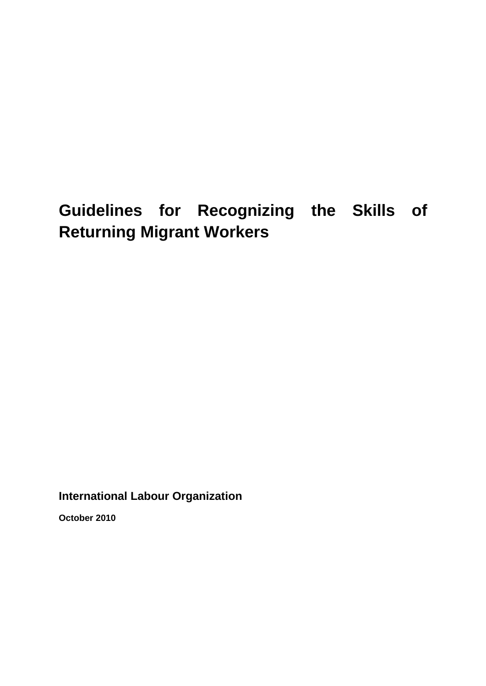# **Guidelines for Recognizing the Skills of Returning Migrant Workers**

**International Labour Organization**

**October 2010**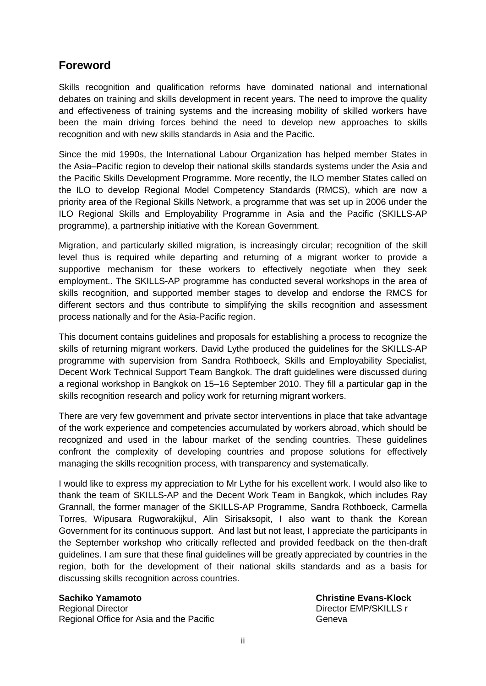### **Foreword**

Skills recognition and qualification reforms have dominated national and international debates on training and skills development in recent years. The need to improve the quality and effectiveness of training systems and the increasing mobility of skilled workers have been the main driving forces behind the need to develop new approaches to skills recognition and with new skills standards in Asia and the Pacific.

Since the mid 1990s, the International Labour Organization has helped member States in the Asia–Pacific region to develop their national skills standards systems under the Asia and the Pacific Skills Development Programme. More recently, the ILO member States called on the ILO to develop Regional Model Competency Standards (RMCS), which are now a priority area of the Regional Skills Network, a programme that was set up in 2006 under the ILO Regional Skills and Employability Programme in Asia and the Pacific (SKILLS-AP programme), a partnership initiative with the Korean Government.

Migration, and particularly skilled migration, is increasingly circular; recognition of the skill level thus is required while departing and returning of a migrant worker to provide a supportive mechanism for these workers to effectively negotiate when they seek employment.. The SKILLS-AP programme has conducted several workshops in the area of skills recognition, and supported member stages to develop and endorse the RMCS for different sectors and thus contribute to simplifying the skills recognition and assessment process nationally and for the Asia-Pacific region.

This document contains guidelines and proposals for establishing a process to recognize the skills of returning migrant workers. David Lythe produced the guidelines for the SKILLS-AP programme with supervision from Sandra Rothboeck, Skills and Employability Specialist, Decent Work Technical Support Team Bangkok. The draft guidelines were discussed during a regional workshop in Bangkok on 15–16 September 2010. They fill a particular gap in the skills recognition research and policy work for returning migrant workers.

There are very few government and private sector interventions in place that take advantage of the work experience and competencies accumulated by workers abroad, which should be recognized and used in the labour market of the sending countries. These guidelines confront the complexity of developing countries and propose solutions for effectively managing the skills recognition process, with transparency and systematically.

I would like to express my appreciation to Mr Lythe for his excellent work. I would also like to thank the team of SKILLS-AP and the Decent Work Team in Bangkok, which includes Ray Grannall, the former manager of the SKILLS-AP Programme, Sandra Rothboeck, Carmella Torres, Wipusara Rugworakijkul, Alin Sirisaksopit, I also want to thank the Korean Government for its continuous support. And last but not least, I appreciate the participants in the September workshop who critically reflected and provided feedback on the then-draft guidelines. I am sure that these final guidelines will be greatly appreciated by countries in the region, both for the development of their national skills standards and as a basis for discussing skills recognition across countries.

Regional Director **National Director EMP/SKILLS r** National Director EMP/SKILLS r Regional Office for Asia and the Pacific **CENTA CONCORDING CONTRACT CONCORDING CONCORDING CONCORDING CONCORDING** 

**Sachiko Yamamoto Christine Evans-Klock**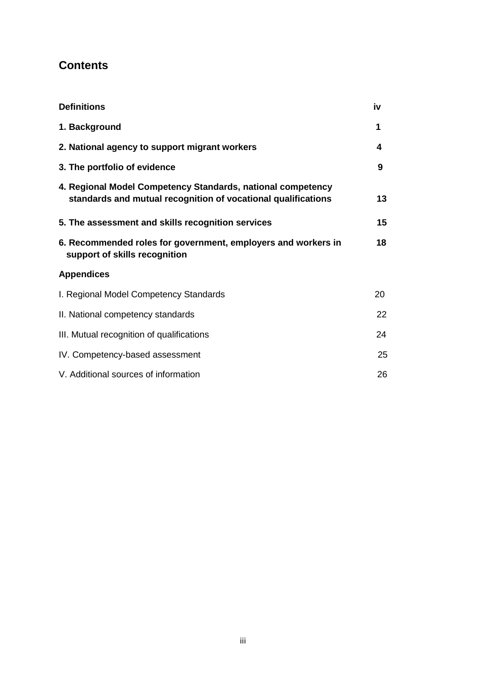### **Contents**

| <b>Definitions</b>                                                                                                           | iv |
|------------------------------------------------------------------------------------------------------------------------------|----|
| 1. Background                                                                                                                | 1  |
| 2. National agency to support migrant workers                                                                                | 4  |
| 3. The portfolio of evidence                                                                                                 | 9  |
| 4. Regional Model Competency Standards, national competency<br>standards and mutual recognition of vocational qualifications | 13 |
| 5. The assessment and skills recognition services                                                                            | 15 |
| 6. Recommended roles for government, employers and workers in<br>support of skills recognition                               | 18 |
| <b>Appendices</b>                                                                                                            |    |
| I. Regional Model Competency Standards                                                                                       | 20 |
| II. National competency standards                                                                                            | 22 |
| III. Mutual recognition of qualifications                                                                                    | 24 |
| IV. Competency-based assessment                                                                                              | 25 |
| V. Additional sources of information                                                                                         | 26 |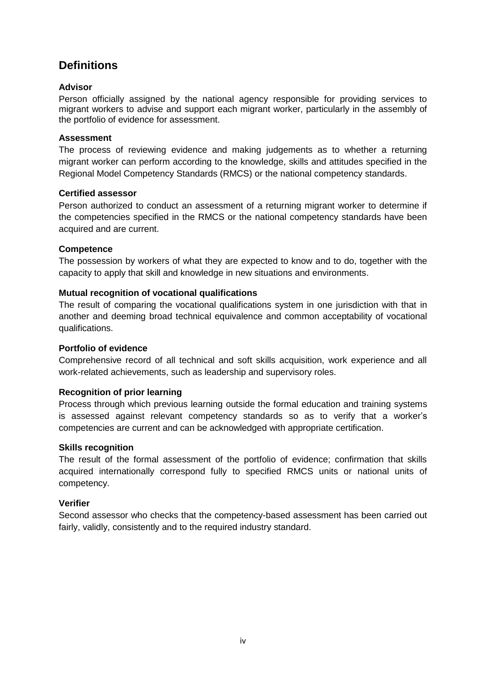### **Definitions**

#### **Advisor**

Person officially assigned by the national agency responsible for providing services to migrant workers to advise and support each migrant worker, particularly in the assembly of the portfolio of evidence for assessment.

#### **Assessment**

The process of reviewing evidence and making judgements as to whether a returning migrant worker can perform according to the knowledge, skills and attitudes specified in the Regional Model Competency Standards (RMCS) or the national competency standards.

#### **Certified assessor**

Person authorized to conduct an assessment of a returning migrant worker to determine if the competencies specified in the RMCS or the national competency standards have been acquired and are current.

#### **Competence**

The possession by workers of what they are expected to know and to do, together with the capacity to apply that skill and knowledge in new situations and environments.

#### **Mutual recognition of vocational qualifications**

The result of comparing the vocational qualifications system in one jurisdiction with that in another and deeming broad technical equivalence and common acceptability of vocational qualifications.

#### **Portfolio of evidence**

Comprehensive record of all technical and soft skills acquisition, work experience and all work-related achievements, such as leadership and supervisory roles.

#### **Recognition of prior learning**

Process through which previous learning outside the formal education and training systems is assessed against relevant competency standards so as to verify that a worker's competencies are current and can be acknowledged with appropriate certification.

#### **Skills recognition**

The result of the formal assessment of the portfolio of evidence; confirmation that skills acquired internationally correspond fully to specified RMCS units or national units of competency.

#### **Verifier**

Second assessor who checks that the competency-based assessment has been carried out fairly, validly, consistently and to the required industry standard.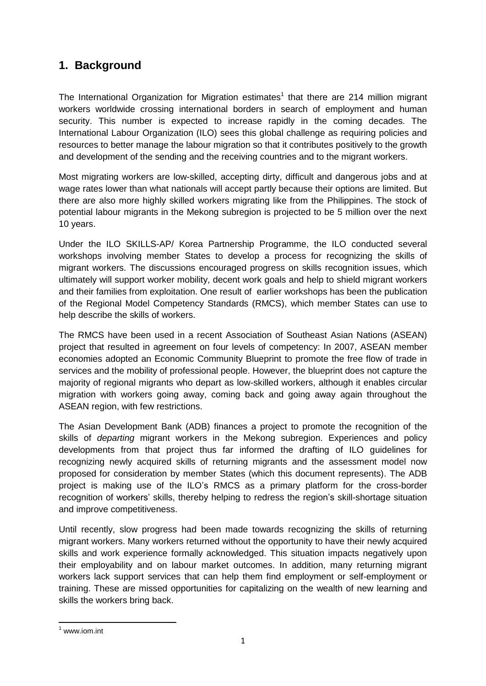### **1. Background**

The International Organization for Migration estimates<sup>1</sup> that there are 214 million migrant workers worldwide crossing international borders in search of employment and human security. This number is expected to increase rapidly in the coming decades. The International Labour Organization (ILO) sees this global challenge as requiring policies and resources to better manage the labour migration so that it contributes positively to the growth and development of the sending and the receiving countries and to the migrant workers.

Most migrating workers are low-skilled, accepting dirty, difficult and dangerous jobs and at wage rates lower than what nationals will accept partly because their options are limited. But there are also more highly skilled workers migrating like from the Philippines. The stock of potential labour migrants in the Mekong subregion is projected to be 5 million over the next 10 years.

Under the ILO SKILLS-AP/ Korea Partnership Programme, the ILO conducted several workshops involving member States to develop a process for recognizing the skills of migrant workers. The discussions encouraged progress on skills recognition issues, which ultimately will support worker mobility, decent work goals and help to shield migrant workers and their families from exploitation. One result of earlier workshops has been the publication of the Regional Model Competency Standards (RMCS), which member States can use to help describe the skills of workers.

The RMCS have been used in a recent Association of Southeast Asian Nations (ASEAN) project that resulted in agreement on four levels of competency: In 2007, ASEAN member economies adopted an Economic Community Blueprint to promote the free flow of trade in services and the mobility of professional people. However, the blueprint does not capture the majority of regional migrants who depart as low-skilled workers, although it enables circular migration with workers going away, coming back and going away again throughout the ASEAN region, with few restrictions.

The Asian Development Bank (ADB) finances a project to promote the recognition of the skills of *departing* migrant workers in the Mekong subregion. Experiences and policy developments from that project thus far informed the drafting of ILO guidelines for recognizing newly acquired skills of returning migrants and the assessment model now proposed for consideration by member States (which this document represents). The ADB project is making use of the ILO's RMCS as a primary platform for the cross-border recognition of workers' skills, thereby helping to redress the region's skill-shortage situation and improve competitiveness.

Until recently, slow progress had been made towards recognizing the skills of returning migrant workers. Many workers returned without the opportunity to have their newly acquired skills and work experience formally acknowledged. This situation impacts negatively upon their employability and on labour market outcomes. In addition, many returning migrant workers lack support services that can help them find employment or self-employment or training. These are missed opportunities for capitalizing on the wealth of new learning and skills the workers bring back.

**.** 

 $1$  www.iom.int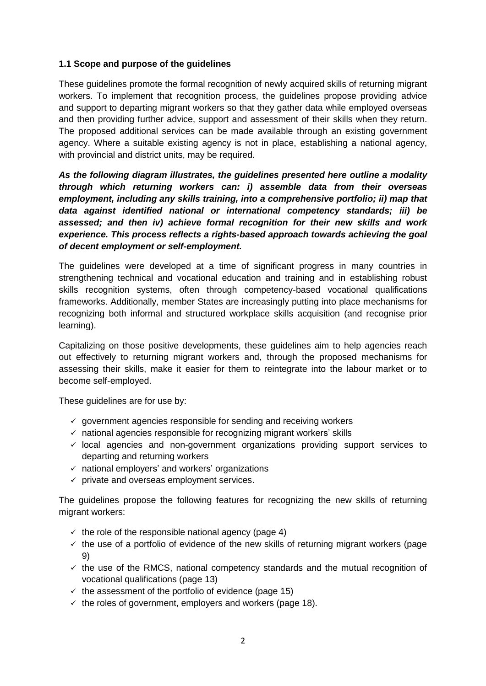#### **1.1 Scope and purpose of the guidelines**

These guidelines promote the formal recognition of newly acquired skills of returning migrant workers. To implement that recognition process, the guidelines propose providing advice and support to departing migrant workers so that they gather data while employed overseas and then providing further advice, support and assessment of their skills when they return. The proposed additional services can be made available through an existing government agency. Where a suitable existing agency is not in place, establishing a national agency, with provincial and district units, may be required.

*As the following diagram illustrates, the guidelines presented here outline a modality through which returning workers can: i) assemble data from their overseas employment, including any skills training, into a comprehensive portfolio; ii) map that data against identified national or international competency standards; iii) be assessed; and then iv) achieve formal recognition for their new skills and work experience. This process reflects a rights-based approach towards achieving the goal of decent employment or self-employment.*

The guidelines were developed at a time of significant progress in many countries in strengthening technical and vocational education and training and in establishing robust skills recognition systems, often through competency-based vocational qualifications frameworks. Additionally, member States are increasingly putting into place mechanisms for recognizing both informal and structured workplace skills acquisition (and recognise prior learning).

Capitalizing on those positive developments, these guidelines aim to help agencies reach out effectively to returning migrant workers and, through the proposed mechanisms for assessing their skills, make it easier for them to reintegrate into the labour market or to become self-employed.

These quidelines are for use by:

- $\checkmark$  government agencies responsible for sending and receiving workers
- $\checkmark$  national agencies responsible for recognizing migrant workers' skills
- $\checkmark$  local agencies and non-government organizations providing support services to departing and returning workers
- $\checkmark$  national employers' and workers' organizations
- $\checkmark$  private and overseas employment services.

The guidelines propose the following features for recognizing the new skills of returning migrant workers:

- $\checkmark$  the role of the responsible national agency (page 4)
- $\checkmark$  the use of a portfolio of evidence of the new skills of returning migrant workers (page 9)
- $\checkmark$  the use of the RMCS, national competency standards and the mutual recognition of vocational qualifications (page 13)
- $\checkmark$  the assessment of the portfolio of evidence (page 15)
- $\checkmark$  the roles of government, employers and workers (page 18).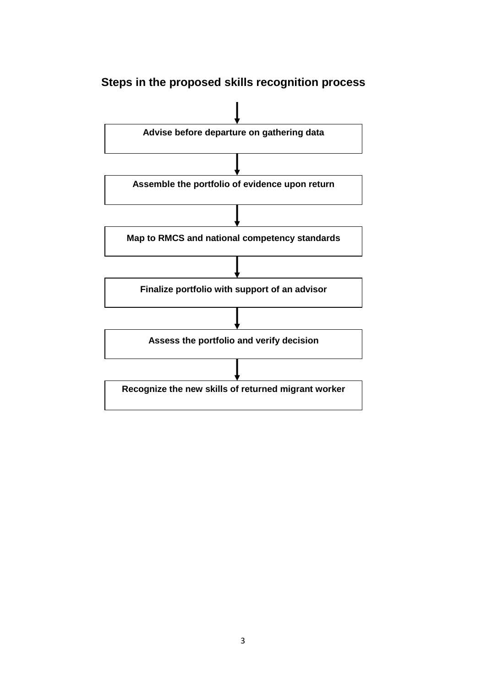## **Steps in the proposed skills recognition process**

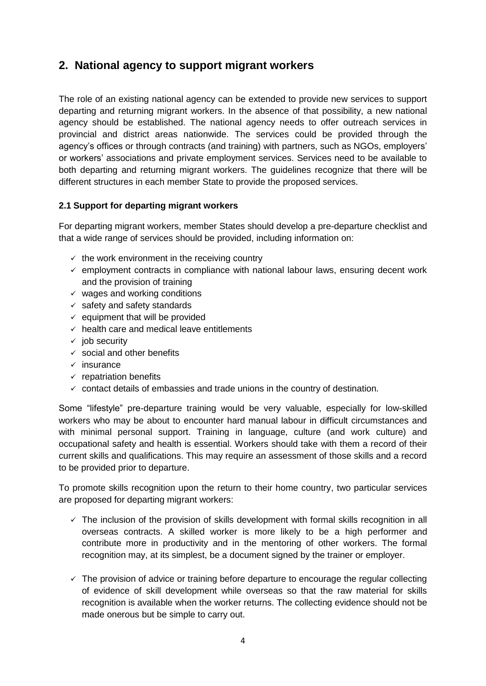### **2. National agency to support migrant workers**

The role of an existing national agency can be extended to provide new services to support departing and returning migrant workers. In the absence of that possibility, a new national agency should be established. The national agency needs to offer outreach services in provincial and district areas nationwide. The services could be provided through the agency's offices or through contracts (and training) with partners, such as NGOs, employers' or workers' associations and private employment services. Services need to be available to both departing and returning migrant workers. The guidelines recognize that there will be different structures in each member State to provide the proposed services.

#### **2.1 Support for departing migrant workers**

For departing migrant workers, member States should develop a pre-departure checklist and that a wide range of services should be provided, including information on:

- $\checkmark$  the work environment in the receiving country
- $\checkmark$  employment contracts in compliance with national labour laws, ensuring decent work and the provision of training
- $\checkmark$  wages and working conditions
- $\checkmark$  safety and safety standards
- $\checkmark$  equipment that will be provided
- $\checkmark$  health care and medical leave entitlements
- $\checkmark$  iob security
- $\checkmark$  social and other benefits
- $\checkmark$  insurance
- $\checkmark$  repatriation benefits
- $\checkmark$  contact details of embassies and trade unions in the country of destination.

Some "lifestyle" pre-departure training would be very valuable, especially for low-skilled workers who may be about to encounter hard manual labour in difficult circumstances and with minimal personal support. Training in language, culture (and work culture) and occupational safety and health is essential. Workers should take with them a record of their current skills and qualifications. This may require an assessment of those skills and a record to be provided prior to departure.

To promote skills recognition upon the return to their home country, two particular services are proposed for departing migrant workers:

- $\checkmark$  The inclusion of the provision of skills development with formal skills recognition in all overseas contracts. A skilled worker is more likely to be a high performer and contribute more in productivity and in the mentoring of other workers. The formal recognition may, at its simplest, be a document signed by the trainer or employer.
- $\checkmark$  The provision of advice or training before departure to encourage the regular collecting of evidence of skill development while overseas so that the raw material for skills recognition is available when the worker returns. The collecting evidence should not be made onerous but be simple to carry out.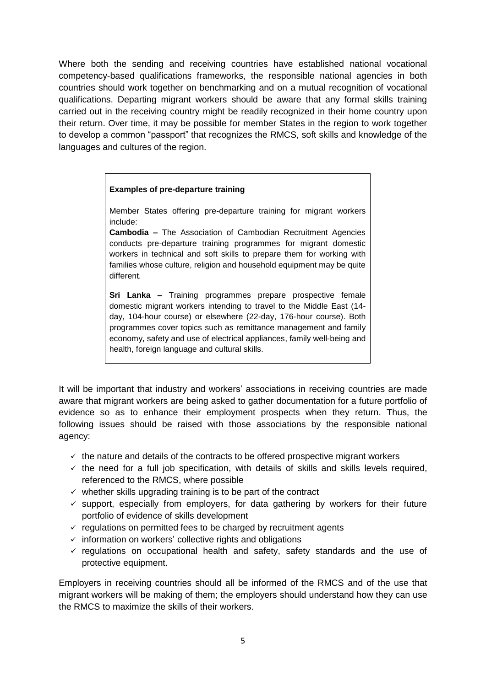Where both the sending and receiving countries have established national vocational competency-based qualifications frameworks, the responsible national agencies in both countries should work together on benchmarking and on a mutual recognition of vocational qualifications. Departing migrant workers should be aware that any formal skills training carried out in the receiving country might be readily recognized in their home country upon their return. Over time, it may be possible for member States in the region to work together to develop a common "passport" that recognizes the RMCS, soft skills and knowledge of the languages and cultures of the region.

#### **Examples of pre-departure training**

Member States offering pre-departure training for migrant workers include:

**Cambodia –** The Association of Cambodian Recruitment Agencies conducts pre-departure training programmes for migrant domestic workers in technical and soft skills to prepare them for working with families whose culture, religion and household equipment may be quite different.

**Sri Lanka –** Training programmes prepare prospective female domestic migrant workers intending to travel to the Middle East (14 day, 104-hour course) or elsewhere (22-day, 176-hour course). Both programmes cover topics such as remittance management and family economy, safety and use of electrical appliances, family well-being and health, foreign language and cultural skills.

It will be important that industry and workers' associations in receiving countries are made aware that migrant workers are being asked to gather documentation for a future portfolio of evidence so as to enhance their employment prospects when they return. Thus, the following issues should be raised with those associations by the responsible national agency:

- $\checkmark$  the nature and details of the contracts to be offered prospective migrant workers
- $\checkmark$  the need for a full job specification, with details of skills and skills levels required, referenced to the RMCS, where possible
- $\checkmark$  whether skills upgrading training is to be part of the contract
- $\checkmark$  support, especially from employers, for data gathering by workers for their future portfolio of evidence of skills development
- $\checkmark$  regulations on permitted fees to be charged by recruitment agents
- $\checkmark$  information on workers' collective rights and obligations
- $\checkmark$  regulations on occupational health and safety, safety standards and the use of protective equipment.

Employers in receiving countries should all be informed of the RMCS and of the use that migrant workers will be making of them; the employers should understand how they can use the RMCS to maximize the skills of their workers.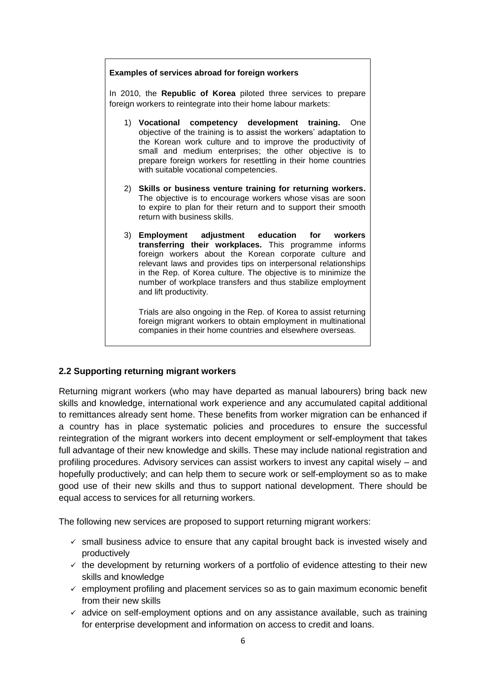### **Examples of services abroad for foreign workers** In 2010, the **Republic of Korea** piloted three services to prepare foreign workers to reintegrate into their home labour markets: 1) **Vocational competency development training.** One objective of the training is to assist the workers' adaptation to the Korean work culture and to improve the productivity of small and medium enterprises; the other objective is to prepare foreign workers for resettling in their home countries with suitable vocational competencies. 2) **Skills or business venture training for returning workers.**  The objective is to encourage workers whose visas are soon to expire to plan for their return and to support their smooth return with business skills. 3) **Employment adjustment education for workers transferring their workplaces.** This programme informs foreign workers about the Korean corporate culture and relevant laws and provides tips on interpersonal relationships in the Rep. of Korea culture. The objective is to minimize the number of workplace transfers and thus stabilize employment and lift productivity. Trials are also ongoing in the Rep. of Korea to assist returning

foreign migrant workers to obtain employment in multinational companies in their home countries and elsewhere overseas.

#### **2.2 Supporting returning migrant workers**

Returning migrant workers (who may have departed as manual labourers) bring back new skills and knowledge, international work experience and any accumulated capital additional to remittances already sent home. These benefits from worker migration can be enhanced if a country has in place systematic policies and procedures to ensure the successful reintegration of the migrant workers into decent employment or self-employment that takes full advantage of their new knowledge and skills. These may include national registration and profiling procedures. Advisory services can assist workers to invest any capital wisely – and hopefully productively; and can help them to secure work or self-employment so as to make good use of their new skills and thus to support national development. There should be equal access to services for all returning workers.

The following new services are proposed to support returning migrant workers:

- $\checkmark$  small business advice to ensure that any capital brought back is invested wisely and productively
- $\checkmark$  the development by returning workers of a portfolio of evidence attesting to their new skills and knowledge
- $\checkmark$  employment profiling and placement services so as to gain maximum economic benefit from their new skills
- $\checkmark$  advice on self-employment options and on any assistance available, such as training for enterprise development and information on access to credit and loans.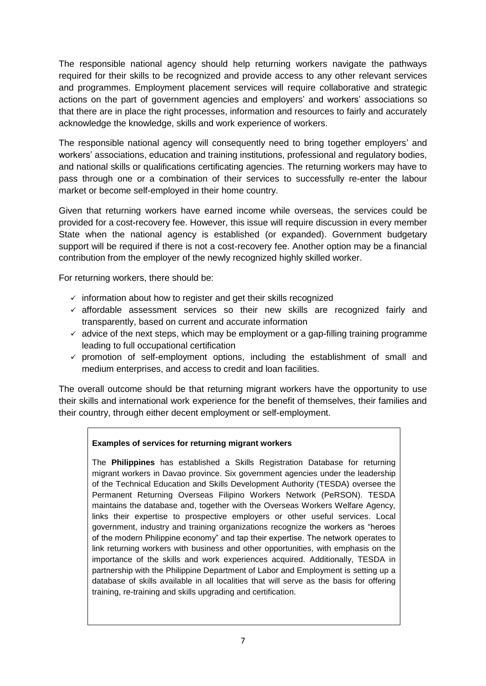The responsible national agency should help returning workers navigate the pathways required for their skills to be recognized and provide access to any other relevant services and programmes. Employment placement services will require collaborative and strategic actions on the part of government agencies and employers' and workers' associations so that there are in place the right processes, information and resources to fairly and accurately acknowledge the knowledge, skills and work experience of workers.

The responsible national agency will consequently need to bring together employers' and workers' associations, education and training institutions, professional and regulatory bodies, and national skills or qualifications certificating agencies. The returning workers may have to pass through one or a combination of their services to successfully re-enter the labour market or become self-employed in their home country.

Given that returning workers have earned income while overseas, the services could be provided for a cost-recovery fee. However, this issue will require discussion in every member State when the national agency is established (or expanded). Government budgetary support will be required if there is not a cost-recovery fee. Another option may be a financial contribution from the employer of the newly recognized highly skilled worker.

For returning workers, there should be:

- $\checkmark$  information about how to register and get their skills recognized
- $\checkmark$  affordable assessment services so their new skills are recognized fairly and transparently, based on current and accurate information
- $\checkmark$  advice of the next steps, which may be employment or a gap-filling training programme leading to full occupational certification
- $\checkmark$  promotion of self-employment options, including the establishment of small and medium enterprises, and access to credit and loan facilities.

The overall outcome should be that returning migrant workers have the opportunity to use their skills and international work experience for the benefit of themselves, their families and their country, through either decent employment or self-employment.

#### **Examples of services for returning migrant workers**

The **Philippines** has established a Skills Registration Database for returning migrant workers in Davao province. Six government agencies under the leadership of the Technical Education and Skills Development Authority (TESDA) oversee the Permanent Returning Overseas Filipino Workers Network (PeRSON). TESDA maintains the database and, together with the Overseas Workers Welfare Agency, links their expertise to prospective employers or other useful services. Local government, industry and training organizations recognize the workers as "heroes of the modern Philippine economy" and tap their expertise. The network operates to link returning workers with business and other opportunities, with emphasis on the importance of the skills and work experiences acquired. Additionally, TESDA in partnership with the Philippine Department of Labor and Employment is setting up a database of skills available in all localities that will serve as the basis for offering training, re-training and skills upgrading and certification.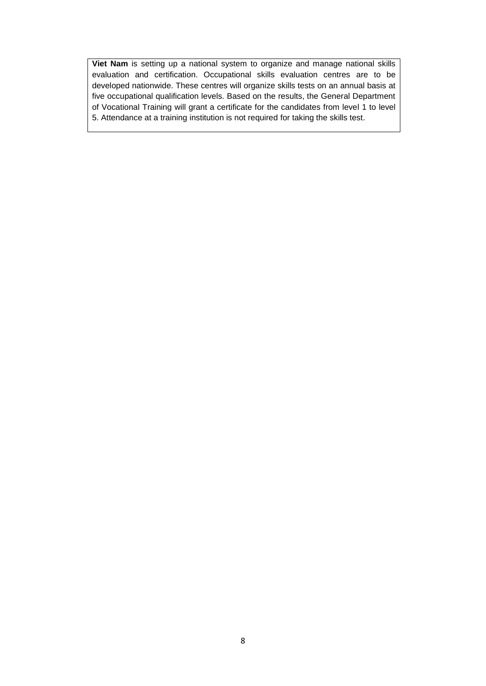**Viet Nam** is setting up a national system to organize and manage national skills evaluation and certification. Occupational skills evaluation centres are to be developed nationwide. These centres will organize skills tests on an annual basis at five occupational qualification levels. Based on the results, the General Department of Vocational Training will grant a certificate for the candidates from level 1 to level 5. Attendance at a training institution is not required for taking the skills test.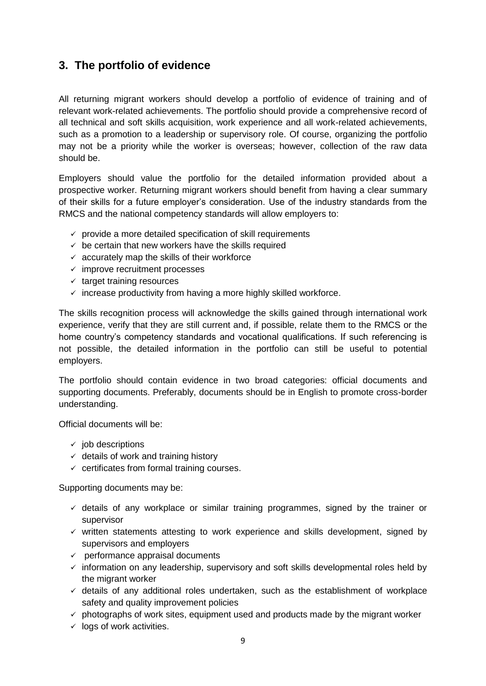### **3. The portfolio of evidence**

All returning migrant workers should develop a portfolio of evidence of training and of relevant work-related achievements. The portfolio should provide a comprehensive record of all technical and soft skills acquisition, work experience and all work-related achievements, such as a promotion to a leadership or supervisory role. Of course, organizing the portfolio may not be a priority while the worker is overseas; however, collection of the raw data should be.

Employers should value the portfolio for the detailed information provided about a prospective worker. Returning migrant workers should benefit from having a clear summary of their skills for a future employer's consideration. Use of the industry standards from the RMCS and the national competency standards will allow employers to:

- $\checkmark$  provide a more detailed specification of skill requirements
- $\checkmark$  be certain that new workers have the skills required
- $\checkmark$  accurately map the skills of their workforce
- $\checkmark$  improve recruitment processes
- $\checkmark$  target training resources
- $\checkmark$  increase productivity from having a more highly skilled workforce.

The skills recognition process will acknowledge the skills gained through international work experience, verify that they are still current and, if possible, relate them to the RMCS or the home country's competency standards and vocational qualifications. If such referencing is not possible, the detailed information in the portfolio can still be useful to potential employers.

The portfolio should contain evidence in two broad categories: official documents and supporting documents. Preferably, documents should be in English to promote cross-border understanding.

Official documents will be:

- $\checkmark$  iob descriptions
- $\checkmark$  details of work and training history
- $\checkmark$  certificates from formal training courses.

Supporting documents may be:

- $\checkmark$  details of any workplace or similar training programmes, signed by the trainer or supervisor
- $\checkmark$  written statements attesting to work experience and skills development, signed by supervisors and employers
- $\checkmark$  performance appraisal documents
- $\checkmark$  information on any leadership, supervisory and soft skills developmental roles held by the migrant worker
- $\checkmark$  details of any additional roles undertaken, such as the establishment of workplace safety and quality improvement policies
- $\checkmark$  photographs of work sites, equipment used and products made by the migrant worker
- $\checkmark$  logs of work activities.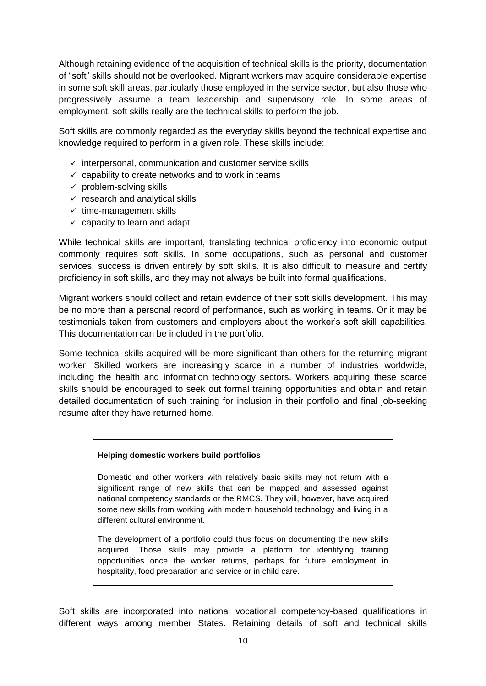Although retaining evidence of the acquisition of technical skills is the priority, documentation of "soft" skills should not be overlooked. Migrant workers may acquire considerable expertise in some soft skill areas, particularly those employed in the service sector, but also those who progressively assume a team leadership and supervisory role. In some areas of employment, soft skills really are the technical skills to perform the job.

Soft skills are commonly regarded as the everyday skills beyond the technical expertise and knowledge required to perform in a given role. These skills include:

- $\checkmark$  interpersonal, communication and customer service skills
- $\checkmark$  capability to create networks and to work in teams
- $\checkmark$  problem-solving skills
- $\checkmark$  research and analytical skills
- $\checkmark$  time-management skills
- $\checkmark$  capacity to learn and adapt.

While technical skills are important, translating technical proficiency into economic output commonly requires soft skills. In some occupations, such as personal and customer services, success is driven entirely by soft skills. It is also difficult to measure and certify proficiency in soft skills, and they may not always be built into formal qualifications.

Migrant workers should collect and retain evidence of their soft skills development. This may be no more than a personal record of performance, such as working in teams. Or it may be testimonials taken from customers and employers about the worker's soft skill capabilities. This documentation can be included in the portfolio.

Some technical skills acquired will be more significant than others for the returning migrant worker. Skilled workers are increasingly scarce in a number of industries worldwide, including the health and information technology sectors. Workers acquiring these scarce skills should be encouraged to seek out formal training opportunities and obtain and retain detailed documentation of such training for inclusion in their portfolio and final job-seeking resume after they have returned home.

#### **Helping domestic workers build portfolios**

Domestic and other workers with relatively basic skills may not return with a significant range of new skills that can be mapped and assessed against national competency standards or the RMCS. They will, however, have acquired some new skills from working with modern household technology and living in a different cultural environment.

The development of a portfolio could thus focus on documenting the new skills acquired. Those skills may provide a platform for identifying training opportunities once the worker returns, perhaps for future employment in hospitality, food preparation and service or in child care.

Soft skills are incorporated into national vocational competency-based qualifications in different ways among member States. Retaining details of soft and technical skills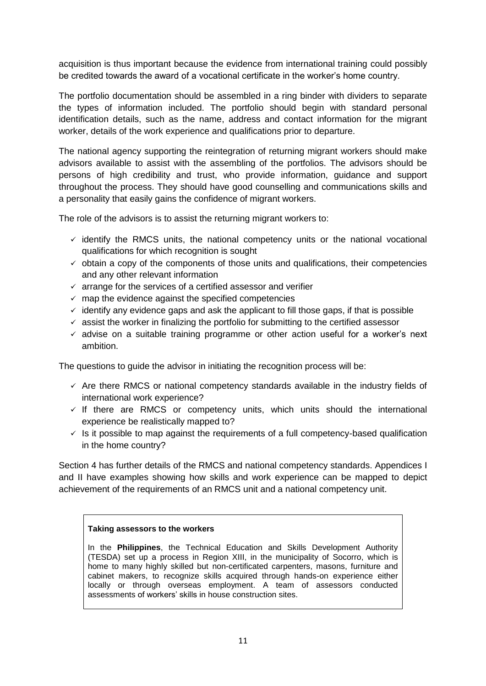acquisition is thus important because the evidence from international training could possibly be credited towards the award of a vocational certificate in the worker's home country.

The portfolio documentation should be assembled in a ring binder with dividers to separate the types of information included. The portfolio should begin with standard personal identification details, such as the name, address and contact information for the migrant worker, details of the work experience and qualifications prior to departure.

The national agency supporting the reintegration of returning migrant workers should make advisors available to assist with the assembling of the portfolios. The advisors should be persons of high credibility and trust, who provide information, guidance and support throughout the process. They should have good counselling and communications skills and a personality that easily gains the confidence of migrant workers.

The role of the advisors is to assist the returning migrant workers to:

- $\checkmark$  identify the RMCS units, the national competency units or the national vocational qualifications for which recognition is sought
- $\checkmark$  obtain a copy of the components of those units and qualifications, their competencies and any other relevant information
- $\checkmark$  arrange for the services of a certified assessor and verifier
- $\checkmark$  map the evidence against the specified competencies
- $\checkmark$  identify any evidence gaps and ask the applicant to fill those gaps, if that is possible
- $\checkmark$  assist the worker in finalizing the portfolio for submitting to the certified assessor
- $\checkmark$  advise on a suitable training programme or other action useful for a worker's next ambition.

The questions to guide the advisor in initiating the recognition process will be:

- $\checkmark$  Are there RMCS or national competency standards available in the industry fields of international work experience?
- $\checkmark$  If there are RMCS or competency units, which units should the international experience be realistically mapped to?
- $\checkmark$  is it possible to map against the requirements of a full competency-based qualification in the home country?

Section 4 has further details of the RMCS and national competency standards. Appendices I and II have examples showing how skills and work experience can be mapped to depict achievement of the requirements of an RMCS unit and a national competency unit.

#### **Taking assessors to the workers**

In the **Philippines**, the Technical Education and Skills Development Authority (TESDA) set up a process in Region XIII, in the municipality of Socorro, which is home to many highly skilled but non-certificated carpenters, masons, furniture and cabinet makers, to recognize skills acquired through hands-on experience either locally or through overseas employment. A team of assessors conducted assessments of workers' skills in house construction sites.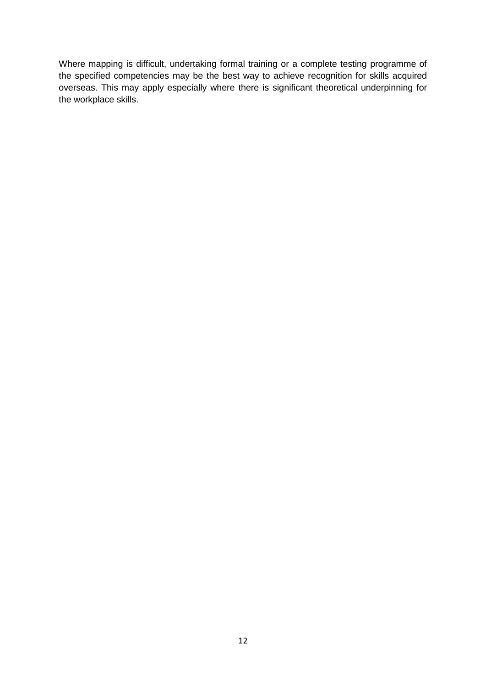Where mapping is difficult, undertaking formal training or a complete testing programme of the specified competencies may be the best way to achieve recognition for skills acquired overseas. This may apply especially where there is significant theoretical underpinning for the workplace skills.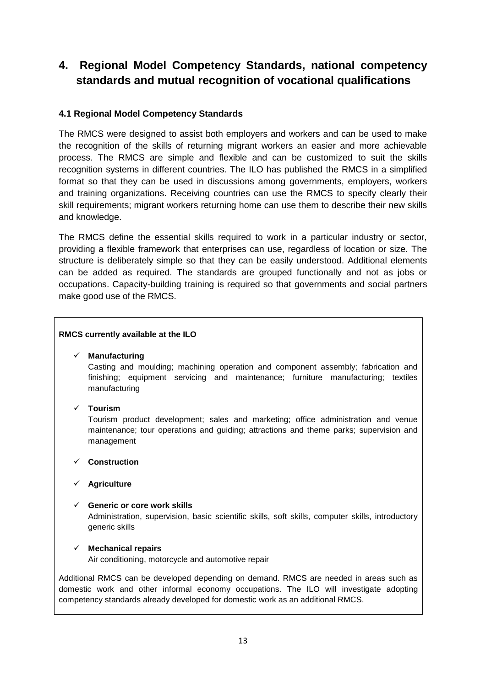### **4. Regional Model Competency Standards, national competency standards and mutual recognition of vocational qualifications**

#### **4.1 Regional Model Competency Standards**

The RMCS were designed to assist both employers and workers and can be used to make the recognition of the skills of returning migrant workers an easier and more achievable process. The RMCS are simple and flexible and can be customized to suit the skills recognition systems in different countries. The ILO has published the RMCS in a simplified format so that they can be used in discussions among governments, employers, workers and training organizations. Receiving countries can use the RMCS to specify clearly their skill requirements; migrant workers returning home can use them to describe their new skills and knowledge.

The RMCS define the essential skills required to work in a particular industry or sector, providing a flexible framework that enterprises can use, regardless of location or size. The structure is deliberately simple so that they can be easily understood. Additional elements can be added as required. The standards are grouped functionally and not as jobs or occupations. Capacity-building training is required so that governments and social partners make good use of the RMCS.

#### **RMCS currently available at the ILO**

#### **Manufacturing**

Casting and moulding; machining operation and component assembly; fabrication and finishing; equipment servicing and maintenance; furniture manufacturing; textiles manufacturing

#### **Tourism**

Tourism product development; sales and marketing; office administration and venue maintenance; tour operations and guiding; attractions and theme parks; supervision and management

#### **Construction**

#### **Agriculture**

#### **Generic or core work skills**

Administration, supervision, basic scientific skills, soft skills, computer skills, introductory generic skills

#### **Mechanical repairs**

Air conditioning, motorcycle and automotive repair

Additional RMCS can be developed depending on demand. RMCS are needed in areas such as domestic work and other informal economy occupations. The ILO will investigate adopting competency standards already developed for domestic work as an additional RMCS.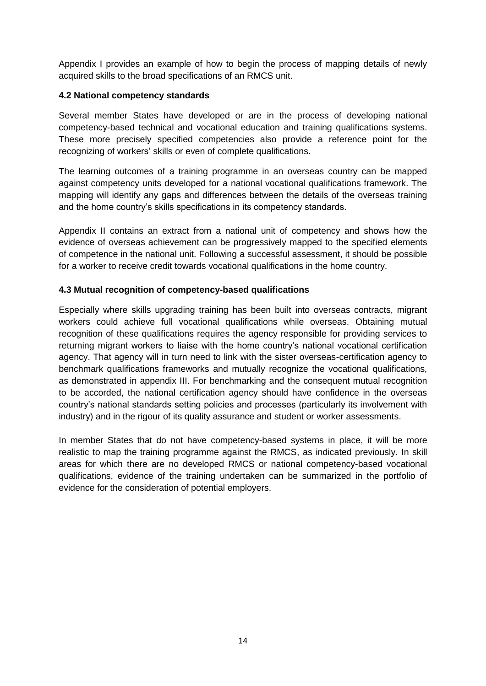Appendix I provides an example of how to begin the process of mapping details of newly acquired skills to the broad specifications of an RMCS unit.

#### **4.2 National competency standards**

Several member States have developed or are in the process of developing national competency-based technical and vocational education and training qualifications systems. These more precisely specified competencies also provide a reference point for the recognizing of workers' skills or even of complete qualifications.

The learning outcomes of a training programme in an overseas country can be mapped against competency units developed for a national vocational qualifications framework. The mapping will identify any gaps and differences between the details of the overseas training and the home country's skills specifications in its competency standards.

Appendix II contains an extract from a national unit of competency and shows how the evidence of overseas achievement can be progressively mapped to the specified elements of competence in the national unit. Following a successful assessment, it should be possible for a worker to receive credit towards vocational qualifications in the home country.

#### **4.3 Mutual recognition of competency-based qualifications**

Especially where skills upgrading training has been built into overseas contracts, migrant workers could achieve full vocational qualifications while overseas. Obtaining mutual recognition of these qualifications requires the agency responsible for providing services to returning migrant workers to liaise with the home country's national vocational certification agency. That agency will in turn need to link with the sister overseas-certification agency to benchmark qualifications frameworks and mutually recognize the vocational qualifications, as demonstrated in appendix III. For benchmarking and the consequent mutual recognition to be accorded, the national certification agency should have confidence in the overseas country's national standards setting policies and processes (particularly its involvement with industry) and in the rigour of its quality assurance and student or worker assessments.

In member States that do not have competency-based systems in place, it will be more realistic to map the training programme against the RMCS, as indicated previously. In skill areas for which there are no developed RMCS or national competency-based vocational qualifications, evidence of the training undertaken can be summarized in the portfolio of evidence for the consideration of potential employers.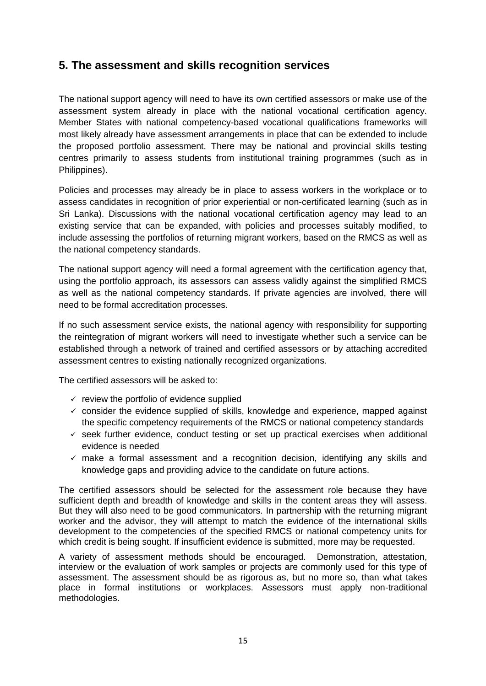### **5. The assessment and skills recognition services**

The national support agency will need to have its own certified assessors or make use of the assessment system already in place with the national vocational certification agency. Member States with national competency-based vocational qualifications frameworks will most likely already have assessment arrangements in place that can be extended to include the proposed portfolio assessment. There may be national and provincial skills testing centres primarily to assess students from institutional training programmes (such as in Philippines).

Policies and processes may already be in place to assess workers in the workplace or to assess candidates in recognition of prior experiential or non-certificated learning (such as in Sri Lanka). Discussions with the national vocational certification agency may lead to an existing service that can be expanded, with policies and processes suitably modified, to include assessing the portfolios of returning migrant workers, based on the RMCS as well as the national competency standards.

The national support agency will need a formal agreement with the certification agency that, using the portfolio approach, its assessors can assess validly against the simplified RMCS as well as the national competency standards. If private agencies are involved, there will need to be formal accreditation processes.

If no such assessment service exists, the national agency with responsibility for supporting the reintegration of migrant workers will need to investigate whether such a service can be established through a network of trained and certified assessors or by attaching accredited assessment centres to existing nationally recognized organizations.

The certified assessors will be asked to:

- $\checkmark$  review the portfolio of evidence supplied
- $\checkmark$  consider the evidence supplied of skills, knowledge and experience, mapped against the specific competency requirements of the RMCS or national competency standards
- $\checkmark$  seek further evidence, conduct testing or set up practical exercises when additional evidence is needed
- $\checkmark$  make a formal assessment and a recognition decision, identifying any skills and knowledge gaps and providing advice to the candidate on future actions.

The certified assessors should be selected for the assessment role because they have sufficient depth and breadth of knowledge and skills in the content areas they will assess. But they will also need to be good communicators. In partnership with the returning migrant worker and the advisor, they will attempt to match the evidence of the international skills development to the competencies of the specified RMCS or national competency units for which credit is being sought. If insufficient evidence is submitted, more may be requested.

A variety of assessment methods should be encouraged. Demonstration, attestation, interview or the evaluation of work samples or projects are commonly used for this type of assessment. The assessment should be as rigorous as, but no more so, than what takes place in formal institutions or workplaces. Assessors must apply non-traditional methodologies.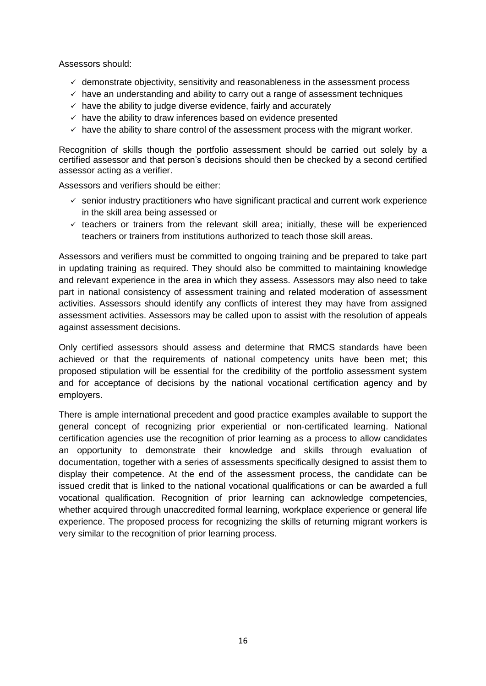Assessors should:

- $\checkmark$  demonstrate objectivity, sensitivity and reasonableness in the assessment process
- $\checkmark$  have an understanding and ability to carry out a range of assessment techniques
- $\checkmark$  have the ability to judge diverse evidence, fairly and accurately
- $\checkmark$  have the ability to draw inferences based on evidence presented
- $\checkmark$  have the ability to share control of the assessment process with the migrant worker.

Recognition of skills though the portfolio assessment should be carried out solely by a certified assessor and that person's decisions should then be checked by a second certified assessor acting as a verifier.

Assessors and verifiers should be either:

- $\checkmark$  senior industry practitioners who have significant practical and current work experience in the skill area being assessed or
- $\checkmark$  teachers or trainers from the relevant skill area; initially, these will be experienced teachers or trainers from institutions authorized to teach those skill areas.

Assessors and verifiers must be committed to ongoing training and be prepared to take part in updating training as required. They should also be committed to maintaining knowledge and relevant experience in the area in which they assess. Assessors may also need to take part in national consistency of assessment training and related moderation of assessment activities. Assessors should identify any conflicts of interest they may have from assigned assessment activities. Assessors may be called upon to assist with the resolution of appeals against assessment decisions.

Only certified assessors should assess and determine that RMCS standards have been achieved or that the requirements of national competency units have been met; this proposed stipulation will be essential for the credibility of the portfolio assessment system and for acceptance of decisions by the national vocational certification agency and by employers.

There is ample international precedent and good practice examples available to support the general concept of recognizing prior experiential or non-certificated learning. National certification agencies use the recognition of prior learning as a process to allow candidates an opportunity to demonstrate their knowledge and skills through evaluation of documentation, together with a series of assessments specifically designed to assist them to display their competence. At the end of the assessment process, the candidate can be issued credit that is linked to the national vocational qualifications or can be awarded a full vocational qualification. Recognition of prior learning can acknowledge competencies, whether acquired through unaccredited formal learning, workplace experience or general life experience. The proposed process for recognizing the skills of returning migrant workers is very similar to the recognition of prior learning process.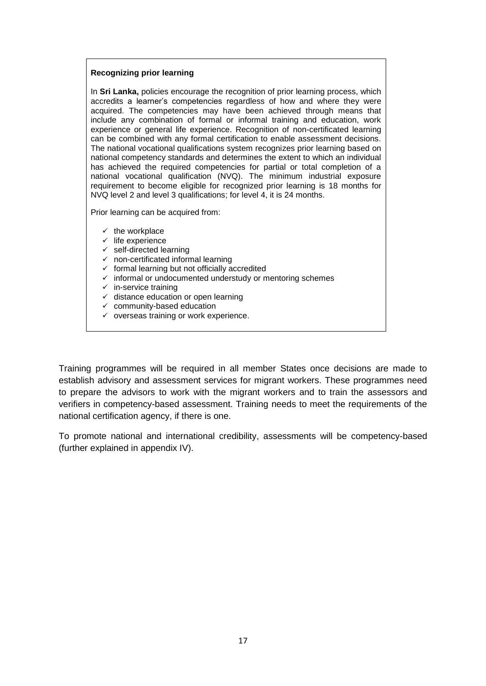#### **Recognizing prior learning**

In **Sri Lanka,** policies encourage the recognition of prior learning process, which accredits a learner's competencies regardless of how and where they were acquired. The competencies may have been achieved through means that include any combination of formal or informal training and education, work experience or general life experience. Recognition of non-certificated learning can be combined with any formal certification to enable assessment decisions. The national vocational qualifications system recognizes prior learning based on national competency standards and determines the extent to which an individual has achieved the required competencies for partial or total completion of a national vocational qualification (NVQ). The minimum industrial exposure requirement to become eligible for recognized prior learning is 18 months for NVQ level 2 and level 3 qualifications; for level 4, it is 24 months.

Prior learning can be acquired from:

- $\checkmark$  the workplace
- $\checkmark$  life experience
- $\checkmark$  self-directed learning
- $\checkmark$  non-certificated informal learning
- $\checkmark$  formal learning but not officially accredited
- $\checkmark$  informal or undocumented understudy or mentoring schemes
- $\checkmark$  in-service training
- $\checkmark$  distance education or open learning
- $\checkmark$  community-based education
- $\checkmark$  overseas training or work experience.

Training programmes will be required in all member States once decisions are made to establish advisory and assessment services for migrant workers. These programmes need to prepare the advisors to work with the migrant workers and to train the assessors and verifiers in competency-based assessment. Training needs to meet the requirements of the national certification agency, if there is one.

To promote national and international credibility, assessments will be competency-based (further explained in appendix IV).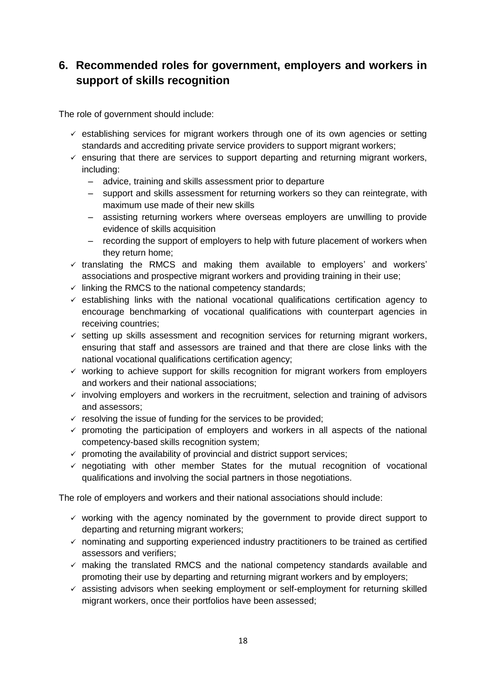### **6. Recommended roles for government, employers and workers in support of skills recognition**

The role of government should include:

- $\checkmark$  establishing services for migrant workers through one of its own agencies or setting standards and accrediting private service providers to support migrant workers;
- $\checkmark$  ensuring that there are services to support departing and returning migrant workers, including:
	- advice, training and skills assessment prior to departure
	- support and skills assessment for returning workers so they can reintegrate, with maximum use made of their new skills
	- assisting returning workers where overseas employers are unwilling to provide evidence of skills acquisition
	- recording the support of employers to help with future placement of workers when they return home;
- $\checkmark$  translating the RMCS and making them available to employers' and workers' associations and prospective migrant workers and providing training in their use;
- $\checkmark$  linking the RMCS to the national competency standards;
- $\checkmark$  establishing links with the national vocational qualifications certification agency to encourage benchmarking of vocational qualifications with counterpart agencies in receiving countries;
- $\checkmark$  setting up skills assessment and recognition services for returning migrant workers, ensuring that staff and assessors are trained and that there are close links with the national vocational qualifications certification agency;
- $\checkmark$  working to achieve support for skills recognition for migrant workers from employers and workers and their national associations;
- $\checkmark$  involving employers and workers in the recruitment, selection and training of advisors and assessors;
- $\checkmark$  resolving the issue of funding for the services to be provided;
- $\checkmark$  promoting the participation of employers and workers in all aspects of the national competency-based skills recognition system;
- $\checkmark$  promoting the availability of provincial and district support services;
- $\checkmark$  negotiating with other member States for the mutual recognition of vocational qualifications and involving the social partners in those negotiations.

The role of employers and workers and their national associations should include:

- $\checkmark$  working with the agency nominated by the government to provide direct support to departing and returning migrant workers;
- $\checkmark$  nominating and supporting experienced industry practitioners to be trained as certified assessors and verifiers;
- $\checkmark$  making the translated RMCS and the national competency standards available and promoting their use by departing and returning migrant workers and by employers;
- $\checkmark$  assisting advisors when seeking employment or self-employment for returning skilled migrant workers, once their portfolios have been assessed;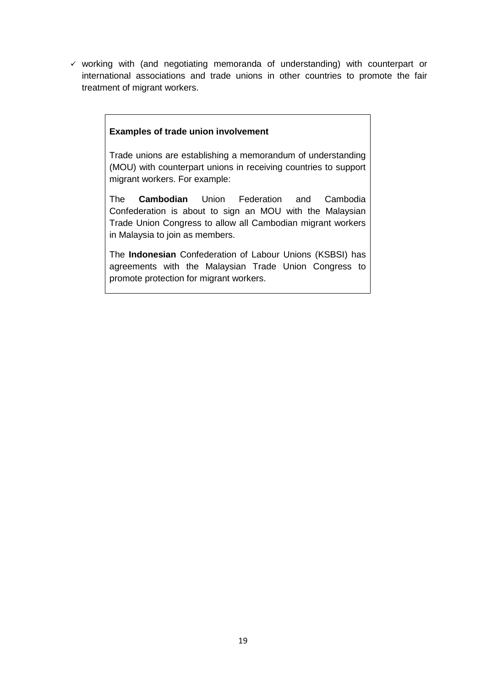$\checkmark$  working with (and negotiating memoranda of understanding) with counterpart or international associations and trade unions in other countries to promote the fair treatment of migrant workers.

#### **Examples of trade union involvement**

Trade unions are establishing a memorandum of understanding (MOU) with counterpart unions in receiving countries to support migrant workers. For example:

The **Cambodian** Union Federation and Cambodia Confederation is about to sign an MOU with the Malaysian Trade Union Congress to allow all Cambodian migrant workers in Malaysia to join as members.

The **Indonesian** Confederation of Labour Unions (KSBSI) has agreements with the Malaysian Trade Union Congress to promote protection for migrant workers.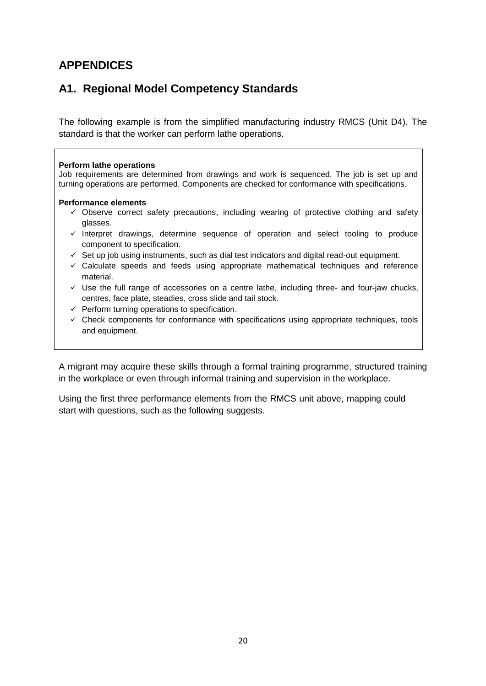## **APPENDICES**

### **A1. Regional Model Competency Standards**

The following example is from the simplified manufacturing industry RMCS (Unit D4). The standard is that the worker can perform lathe operations.

#### **Perform lathe operations**

Job requirements are determined from drawings and work is sequenced. The job is set up and turning operations are performed. Components are checked for conformance with specifications.

#### **Performance elements**

- $\checkmark$  Observe correct safety precautions, including wearing of protective clothing and safety glasses.
- $\checkmark$  Interpret drawings, determine sequence of operation and select tooling to produce component to specification.
- $\checkmark$  Set up job using instruments, such as dial test indicators and digital read-out equipment.
- $\checkmark$  Calculate speeds and feeds using appropriate mathematical techniques and reference material.
- $\checkmark$  Use the full range of accessories on a centre lathe, including three- and four-jaw chucks, centres, face plate, steadies, cross slide and tail stock.
- $\checkmark$  Perform turning operations to specification.
- $\checkmark$  Check components for conformance with specifications using appropriate techniques, tools and equipment.

A migrant may acquire these skills through a formal training programme, structured training in the workplace or even through informal training and supervision in the workplace.

Using the first three performance elements from the RMCS unit above, mapping could start with questions, such as the following suggests.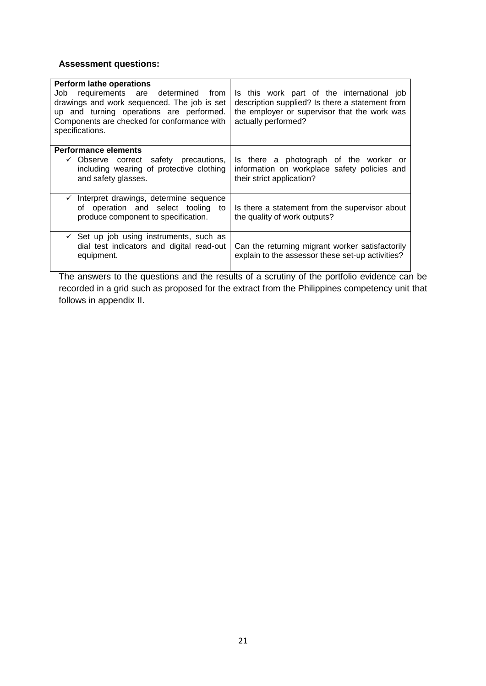### **Assessment questions:**

| <b>Perform lathe operations</b><br>Job requirements are determined from<br>drawings and work sequenced. The job is set<br>up and turning operations are performed.<br>Components are checked for conformance with<br>specifications. | Is this work part of the international job<br>description supplied? Is there a statement from<br>the employer or supervisor that the work was<br>actually performed? |
|--------------------------------------------------------------------------------------------------------------------------------------------------------------------------------------------------------------------------------------|----------------------------------------------------------------------------------------------------------------------------------------------------------------------|
| <b>Performance elements</b>                                                                                                                                                                                                          |                                                                                                                                                                      |
| $\checkmark$ Observe correct safety precautions,<br>including wearing of protective clothing<br>and safety glasses.                                                                                                                  | Is there a photograph of the worker or<br>information on workplace safety policies and<br>their strict application?                                                  |
| $\checkmark$ Interpret drawings, determine sequence<br>of operation and select tooling to<br>produce component to specification.                                                                                                     | Is there a statement from the supervisor about<br>the quality of work outputs?                                                                                       |
| $\checkmark$ Set up job using instruments, such as<br>dial test indicators and digital read-out<br>equipment.                                                                                                                        | Can the returning migrant worker satisfactorily<br>explain to the assessor these set-up activities?                                                                  |

The answers to the questions and the results of a scrutiny of the portfolio evidence can be recorded in a grid such as proposed for the extract from the Philippines competency unit that follows in appendix II.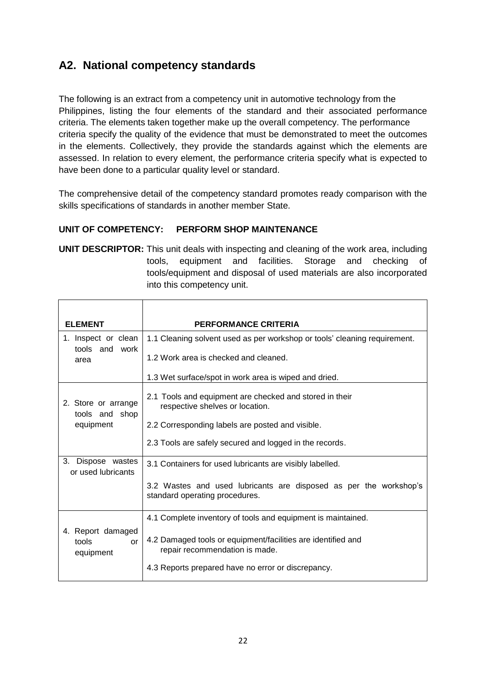### **A2. National competency standards**

The following is an extract from a competency unit in automotive technology from the Philippines, listing the four elements of the standard and their associated performance criteria. The elements taken together make up the overall competency. The performance criteria specify the quality of the evidence that must be demonstrated to meet the outcomes in the elements. Collectively, they provide the standards against which the elements are assessed. In relation to every element, the performance criteria specify what is expected to have been done to a particular quality level or standard.

The comprehensive detail of the competency standard promotes ready comparison with the skills specifications of standards in another member State.

#### **UNIT OF COMPETENCY: PERFORM SHOP MAINTENANCE**

**UNIT DESCRIPTOR:** This unit deals with inspecting and cleaning of the work area, including tools, equipment and facilities. Storage and checking of tools/equipment and disposal of used materials are also incorporated into this competency unit.

| <b>ELEMENT</b>                                      | <b>PERFORMANCE CRITERIA</b>                                                                         |
|-----------------------------------------------------|-----------------------------------------------------------------------------------------------------|
| 1. Inspect or clean<br>tools and work<br>area       | 1.1 Cleaning solvent used as per workshop or tools' cleaning requirement.                           |
|                                                     | 1.2 Work area is checked and cleaned.                                                               |
|                                                     | 1.3 Wet surface/spot in work area is wiped and dried.                                               |
| 2. Store or arrange<br>tools and shop<br>equipment  | 2.1 Tools and equipment are checked and stored in their<br>respective shelves or location.          |
|                                                     | 2.2 Corresponding labels are posted and visible.                                                    |
|                                                     | 2.3 Tools are safely secured and logged in the records.                                             |
| Dispose wastes<br>3.<br>or used lubricants          | 3.1 Containers for used lubricants are visibly labelled.                                            |
|                                                     | 3.2 Wastes and used lubricants are disposed as per the workshop's<br>standard operating procedures. |
| 4. Report damaged<br>tools<br>$\alpha$<br>equipment | 4.1 Complete inventory of tools and equipment is maintained.                                        |
|                                                     | 4.2 Damaged tools or equipment/facilities are identified and<br>repair recommendation is made.      |
|                                                     | 4.3 Reports prepared have no error or discrepancy.                                                  |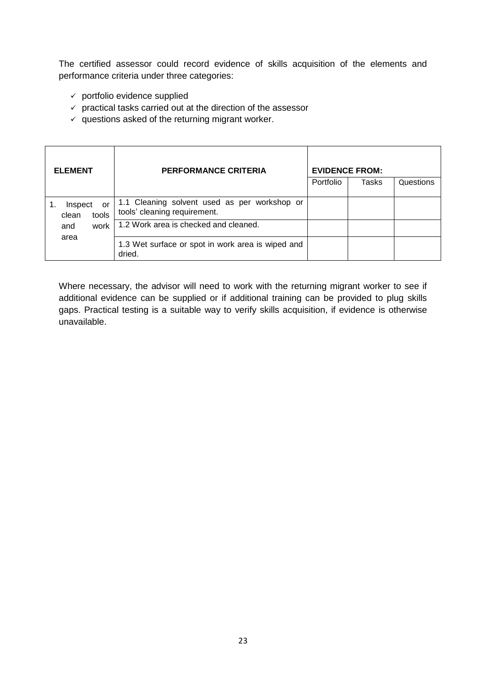The certified assessor could record evidence of skills acquisition of the elements and performance criteria under three categories:

- $\checkmark$  portfolio evidence supplied
- $\checkmark$  practical tasks carried out at the direction of the assessor
- $\checkmark$  questions asked of the returning migrant worker.

| <b>ELEMENT</b>                  | <b>PERFORMANCE CRITERIA</b>                                                  |           | <b>EVIDENCE FROM:</b> |           |
|---------------------------------|------------------------------------------------------------------------------|-----------|-----------------------|-----------|
|                                 |                                                                              | Portfolio | Tasks                 | Questions |
| Inspect<br>or<br>tools<br>clean | 1.1 Cleaning solvent used as per workshop or<br>tools' cleaning requirement. |           |                       |           |
| work<br>and<br>area             | 1.2 Work area is checked and cleaned.                                        |           |                       |           |
|                                 | 1.3 Wet surface or spot in work area is wiped and<br>dried.                  |           |                       |           |

Where necessary, the advisor will need to work with the returning migrant worker to see if additional evidence can be supplied or if additional training can be provided to plug skills gaps. Practical testing is a suitable way to verify skills acquisition, if evidence is otherwise unavailable.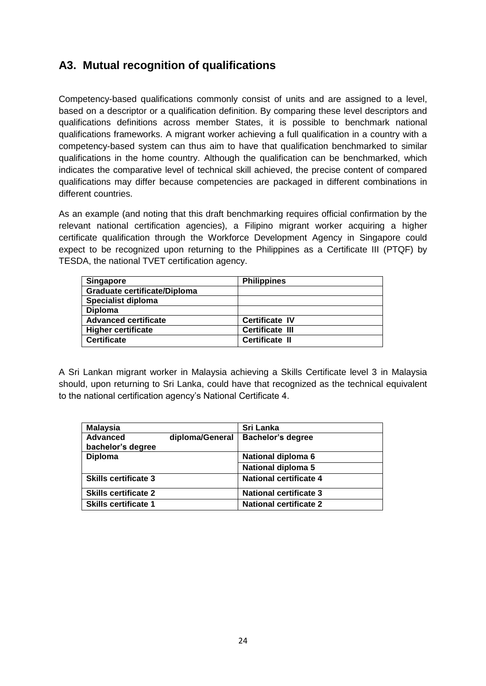### **A3. Mutual recognition of qualifications**

Competency-based qualifications commonly consist of units and are assigned to a level, based on a descriptor or a qualification definition. By comparing these level descriptors and qualifications definitions across member States, it is possible to benchmark national qualifications frameworks. A migrant worker achieving a full qualification in a country with a competency-based system can thus aim to have that qualification benchmarked to similar qualifications in the home country. Although the qualification can be benchmarked, which indicates the comparative level of technical skill achieved, the precise content of compared qualifications may differ because competencies are packaged in different combinations in different countries.

As an example (and noting that this draft benchmarking requires official confirmation by the relevant national certification agencies), a Filipino migrant worker acquiring a higher certificate qualification through the Workforce Development Agency in Singapore could expect to be recognized upon returning to the Philippines as a Certificate III (PTQF) by TESDA, the national TVET certification agency.

| Singapore                           | <b>Philippines</b>     |
|-------------------------------------|------------------------|
| <b>Graduate certificate/Diploma</b> |                        |
| Specialist diploma                  |                        |
| <b>Diploma</b>                      |                        |
| <b>Advanced certificate</b>         | <b>Certificate IV</b>  |
| <b>Higher certificate</b>           | <b>Certificate III</b> |
| <b>Certificate</b>                  | <b>Certificate II</b>  |

A Sri Lankan migrant worker in Malaysia achieving a Skills Certificate level 3 in Malaysia should, upon returning to Sri Lanka, could have that recognized as the technical equivalent to the national certification agency's National Certificate 4.

| <b>Malaysia</b>               |                 | Sri Lanka                     |
|-------------------------------|-----------------|-------------------------------|
| Advanced<br>bachelor's degree | diploma/General | <b>Bachelor's degree</b>      |
| <b>Diploma</b>                |                 | National diploma 6            |
|                               |                 | National diploma 5            |
| <b>Skills certificate 3</b>   |                 | <b>National certificate 4</b> |
| <b>Skills certificate 2</b>   |                 | <b>National certificate 3</b> |
| <b>Skills certificate 1</b>   |                 | <b>National certificate 2</b> |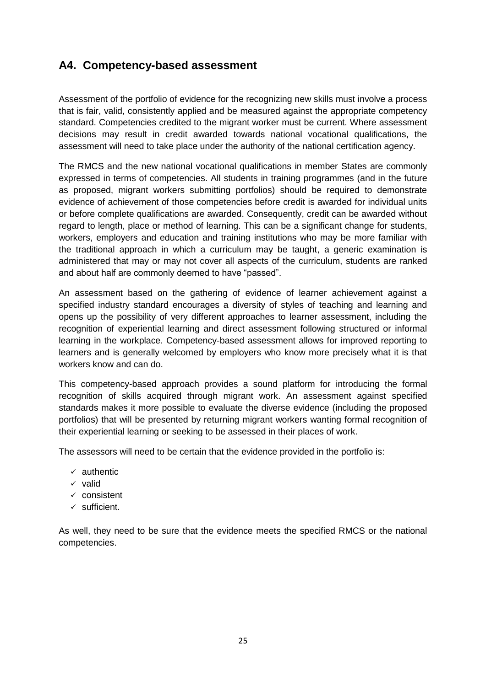### **A4. Competency-based assessment**

Assessment of the portfolio of evidence for the recognizing new skills must involve a process that is fair, valid, consistently applied and be measured against the appropriate competency standard. Competencies credited to the migrant worker must be current. Where assessment decisions may result in credit awarded towards national vocational qualifications, the assessment will need to take place under the authority of the national certification agency.

The RMCS and the new national vocational qualifications in member States are commonly expressed in terms of competencies. All students in training programmes (and in the future as proposed, migrant workers submitting portfolios) should be required to demonstrate evidence of achievement of those competencies before credit is awarded for individual units or before complete qualifications are awarded. Consequently, credit can be awarded without regard to length, place or method of learning. This can be a significant change for students, workers, employers and education and training institutions who may be more familiar with the traditional approach in which a curriculum may be taught, a generic examination is administered that may or may not cover all aspects of the curriculum, students are ranked and about half are commonly deemed to have "passed".

An assessment based on the gathering of evidence of learner achievement against a specified industry standard encourages a diversity of styles of teaching and learning and opens up the possibility of very different approaches to learner assessment, including the recognition of experiential learning and direct assessment following structured or informal learning in the workplace. Competency-based assessment allows for improved reporting to learners and is generally welcomed by employers who know more precisely what it is that workers know and can do.

This competency-based approach provides a sound platform for introducing the formal recognition of skills acquired through migrant work. An assessment against specified standards makes it more possible to evaluate the diverse evidence (including the proposed portfolios) that will be presented by returning migrant workers wanting formal recognition of their experiential learning or seeking to be assessed in their places of work.

The assessors will need to be certain that the evidence provided in the portfolio is:

- $\times$  authentic
- $\times$  valid
- $\times$  consistent
- $\checkmark$  sufficient.

As well, they need to be sure that the evidence meets the specified RMCS or the national competencies.